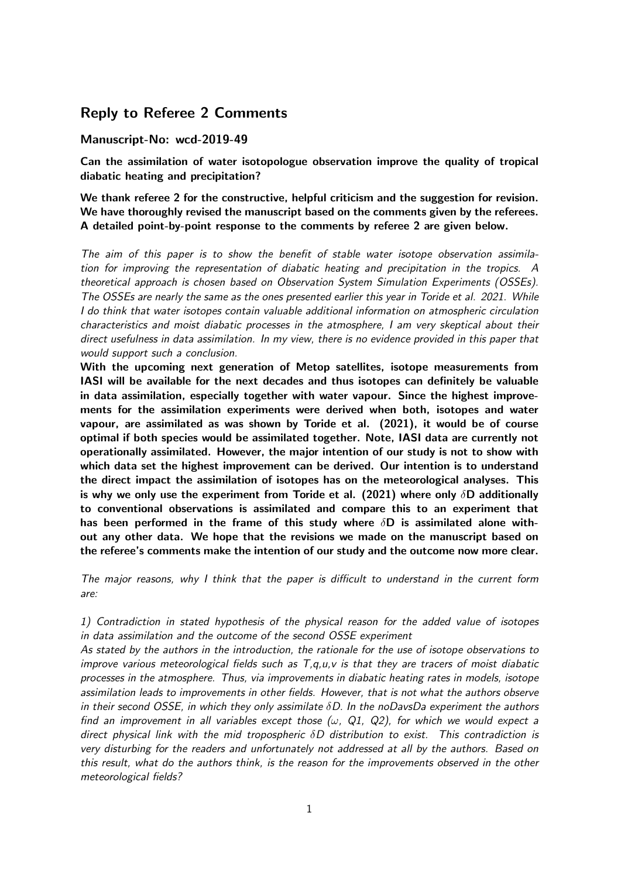## Reply to Referee 2 Comments

## Manuscript-No: wcd-2019-49

Can the assimilation of water isotopologue observation improve the quality of tropical diabatic heating and precipitation?

We thank referee 2 for the constructive, helpful criticism and the suggestion for revision. We have thoroughly revised the manuscript based on the comments given by the referees. A detailed point-by-point response to the comments by referee 2 are given below.

The aim of this paper is to show the benefit of stable water isotope observation assimilation for improving the representation of diabatic heating and precipitation in the tropics. A theoretical approach is chosen based on Observation System Simulation Experiments (OSSEs). The OSSEs are nearly the same as the ones presented earlier this year in Toride et al. 2021. While I do think that water isotopes contain valuable additional information on atmospheric circulation characteristics and moist diabatic processes in the atmosphere, I am very skeptical about their direct usefulness in data assimilation. In my view, there is no evidence provided in this paper that would support such a conclusion.

With the upcoming next generation of Metop satellites, isotope measurements from IASI will be available for the next decades and thus isotopes can definitely be valuable in data assimilation, especially together with water vapour. Since the highest improvements for the assimilation experiments were derived when both, isotopes and water vapour, are assimilated as was shown by Toride et al. (2021), it would be of course optimal if both species would be assimilated together. Note, IASI data are currently not operationally assimilated. However, the major intention of our study is not to show with which data set the highest improvement can be derived. Our intention is to understand the direct impact the assimilation of isotopes has on the meteorological analyses. This is why we only use the experiment from Toride et al. (2021) where only  $\delta$ D additionally to conventional observations is assimilated and compare this to an experiment that has been performed in the frame of this study where  $\delta$ D is assimilated alone without any other data. We hope that the revisions we made on the manuscript based on the referee's comments make the intention of our study and the outcome now more clear.

The major reasons, why I think that the paper is difficult to understand in the current form are:

1) Contradiction in stated hypothesis of the physical reason for the added value of isotopes in data assimilation and the outcome of the second OSSE experiment

As stated by the authors in the introduction, the rationale for the use of isotope observations to improve various meteorological fields such as  $T, q, u, v$  is that they are tracers of moist diabatic processes in the atmosphere. Thus, via improvements in diabatic heating rates in models, isotope assimilation leads to improvements in other fields. However, that is not what the authors observe in their second OSSE, in which they only assimilate  $\delta D$ . In the noDavsDa experiment the authors find an improvement in all variables except those ( $\omega$ , Q1, Q2), for which we would expect a direct physical link with the mid tropospheric  $\delta D$  distribution to exist. This contradiction is very disturbing for the readers and unfortunately not addressed at all by the authors. Based on this result, what do the authors think, is the reason for the improvements observed in the other meteorological fields?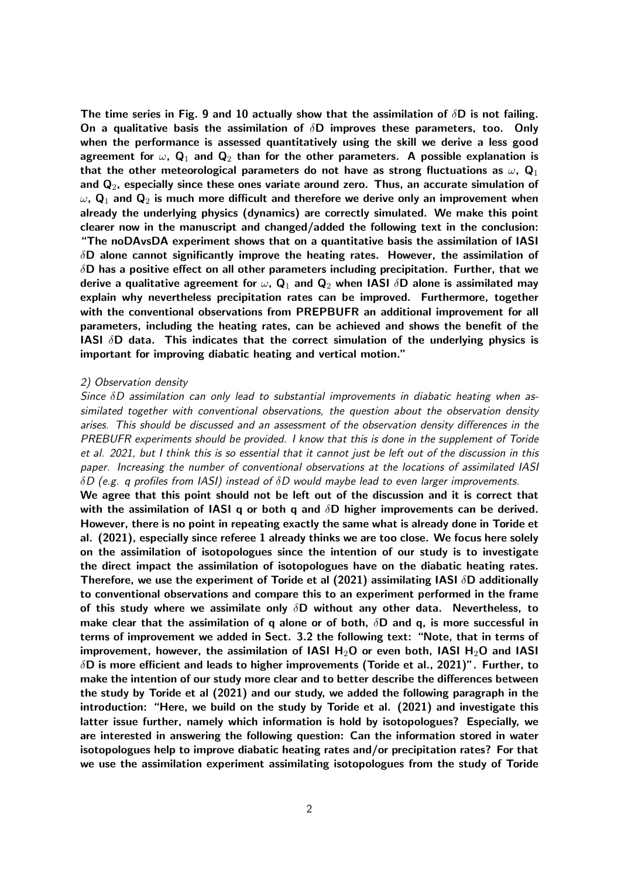The time series in Fig. 9 and 10 actually show that the assimilation of  $\delta$ D is not failing. On a qualitative basis the assimilation of  $\delta$ D improves these parameters, too. Only when the performance is assessed quantitatively using the skill we derive a less good agreement for  $\omega$ , Q<sub>1</sub> and Q<sub>2</sub> than for the other parameters. A possible explanation is that the other meteorological parameters do not have as strong fluctuations as  $\omega$ ,  $\mathbf{Q}_1$ and  $\mathbf{Q}_2$ , especially since these ones variate around zero. Thus, an accurate simulation of  $\omega$ ,  $\mathbf{Q}_1$  and  $\mathbf{Q}_2$  is much more difficult and therefore we derive only an improvement when already the underlying physics (dynamics) are correctly simulated. We make this point clearer now in the manuscript and changed/added the following text in the conclusion: "The noDAvsDA experiment shows that on a quantitative basis the assimilation of IASI  $\delta$ D alone cannot significantly improve the heating rates. However, the assimilation of  $\delta$ D has a positive effect on all other parameters including precipitation. Further, that we derive a qualitative agreement for  $\omega$ ,  $\mathbf{Q}_1$  and  $\mathbf{Q}_2$  when IASI  $\delta\mathbf{D}$  alone is assimilated may explain why nevertheless precipitation rates can be improved. Furthermore, together with the conventional observations from PREPBUFR an additional improvement for all parameters, including the heating rates, can be achieved and shows the benefit of the IASI  $\delta$ D data. This indicates that the correct simulation of the underlying physics is important for improving diabatic heating and vertical motion."

## 2) Observation density

Since  $\delta D$  assimilation can only lead to substantial improvements in diabatic heating when assimilated together with conventional observations, the question about the observation density arises. This should be discussed and an assessment of the observation density differences in the PREBUFR experiments should be provided. I know that this is done in the supplement of Toride et al. 2021, but I think this is so essential that it cannot just be left out of the discussion in this paper. Increasing the number of conventional observations at the locations of assimilated IASI  $\delta D$  (e.g. q profiles from IASI) instead of  $\delta D$  would maybe lead to even larger improvements.

We agree that this point should not be left out of the discussion and it is correct that with the assimilation of IASI q or both q and  $\delta$ D higher improvements can be derived. However, there is no point in repeating exactly the same what is already done in Toride et al. (2021), especially since referee 1 already thinks we are too close. We focus here solely on the assimilation of isotopologues since the intention of our study is to investigate the direct impact the assimilation of isotopologues have on the diabatic heating rates. Therefore, we use the experiment of Toride et al (2021) assimilating IASI  $\delta$ D additionally to conventional observations and compare this to an experiment performed in the frame of this study where we assimilate only  $\delta$ D without any other data. Nevertheless, to make clear that the assimilation of q alone or of both,  $\delta$ D and q, is more successful in terms of improvement we added in Sect. 3.2 the following text: "Note, that in terms of improvement, however, the assimilation of IASI  $H_2O$  or even both, IASI  $H_2O$  and IASI  $\delta$ D is more efficient and leads to higher improvements (Toride et al., 2021)". Further, to make the intention of our study more clear and to better describe the differences between the study by Toride et al (2021) and our study, we added the following paragraph in the introduction: "Here, we build on the study by Toride et al. (2021) and investigate this latter issue further, namely which information is hold by isotopologues? Especially, we are interested in answering the following question: Can the information stored in water isotopologues help to improve diabatic heating rates and/or precipitation rates? For that we use the assimilation experiment assimilating isotopologues from the study of Toride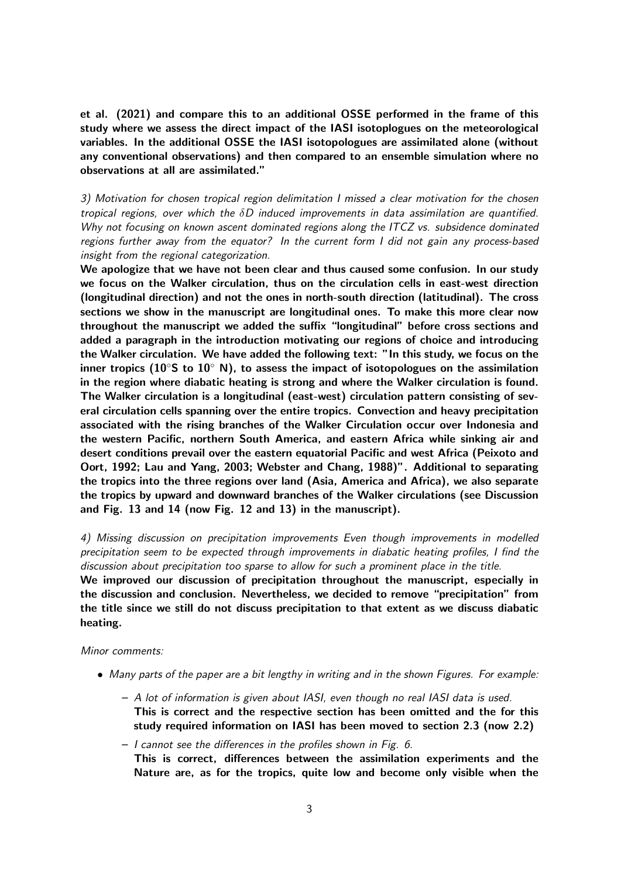et al. (2021) and compare this to an additional OSSE performed in the frame of this study where we assess the direct impact of the IASI isotoplogues on the meteorological variables. In the additional OSSE the IASI isotopologues are assimilated alone (without any conventional observations) and then compared to an ensemble simulation where no observations at all are assimilated."

3) Motivation for chosen tropical region delimitation I missed a clear motivation for the chosen tropical regions, over which the  $\delta D$  induced improvements in data assimilation are quantified. Why not focusing on known ascent dominated regions along the ITCZ vs. subsidence dominated regions further away from the equator? In the current form I did not gain any process-based insight from the regional categorization.

We apologize that we have not been clear and thus caused some confusion. In our study we focus on the Walker circulation, thus on the circulation cells in east-west direction (longitudinal direction) and not the ones in north-south direction (latitudinal). The cross sections we show in the manuscript are longitudinal ones. To make this more clear now throughout the manuscript we added the suffix "longitudinal" before cross sections and added a paragraph in the introduction motivating our regions of choice and introducing the Walker circulation. We have added the following text: "In this study, we focus on the inner tropics (10 $\degree$ S to 10 $\degree$  N), to assess the impact of isotopologues on the assimilation in the region where diabatic heating is strong and where the Walker circulation is found. The Walker circulation is a longitudinal (east-west) circulation pattern consisting of several circulation cells spanning over the entire tropics. Convection and heavy precipitation associated with the rising branches of the Walker Circulation occur over Indonesia and the western Pacific, northern South America, and eastern Africa while sinking air and desert conditions prevail over the eastern equatorial Pacific and west Africa (Peixoto and Oort, 1992; Lau and Yang, 2003; Webster and Chang, 1988)". Additional to separating the tropics into the three regions over land (Asia, America and Africa), we also separate the tropics by upward and downward branches of the Walker circulations (see Discussion and Fig. 13 and 14 (now Fig. 12 and 13) in the manuscript).

4) Missing discussion on precipitation improvements Even though improvements in modelled precipitation seem to be expected through improvements in diabatic heating profiles, I find the discussion about precipitation too sparse to allow for such a prominent place in the title.

We improved our discussion of precipitation throughout the manuscript, especially in the discussion and conclusion. Nevertheless, we decided to remove "precipitation" from the title since we still do not discuss precipitation to that extent as we discuss diabatic heating.

Minor comments:

- Many parts of the paper are a bit lengthy in writing and in the shown Figures. For example:
	- A lot of information is given about IASI, even though no real IASI data is used. This is correct and the respective section has been omitted and the for this study required information on IASI has been moved to section 2.3 (now 2.2)
	- I cannot see the differences in the profiles shown in Fig. 6. This is correct, differences between the assimilation experiments and the Nature are, as for the tropics, quite low and become only visible when the